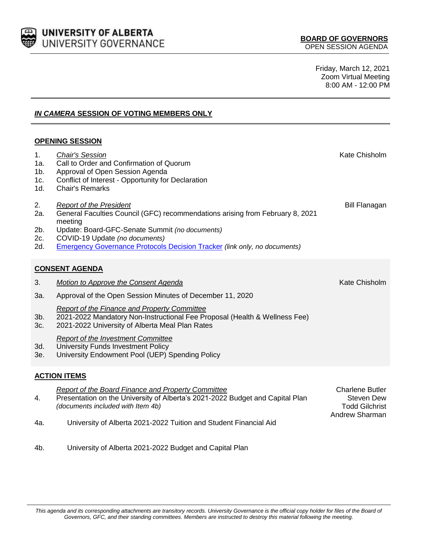

Friday, March 12, 2021 Zoom Virtual Meeting 8:00 AM - 12:00 PM

# *IN CAMERA* **SESSION OF VOTING MEMBERS ONLY**

## **OPENING SESSION**

| 1 <sub>1</sub><br>1a.<br>1b.<br>1c.<br>1d. | <b>Chair's Session</b><br>Call to Order and Confirmation of Quorum<br>Approval of Open Session Agenda<br>Conflict of Interest - Opportunity for Declaration<br><b>Chair's Remarks</b>                                                                                                              | Kate Chisholm                                                                   |  |
|--------------------------------------------|----------------------------------------------------------------------------------------------------------------------------------------------------------------------------------------------------------------------------------------------------------------------------------------------------|---------------------------------------------------------------------------------|--|
| 2.<br>2a.<br>2b.<br>2c.<br>2d.             | <b>Report of the President</b><br>General Faculties Council (GFC) recommendations arising from February 8, 2021<br>meeting<br>Update: Board-GFC-Senate Summit (no documents)<br>COVID-19 Update (no documents)<br><b>Emergency Governance Protocols Decision Tracker (link only, no documents)</b> | <b>Bill Flanagan</b>                                                            |  |
| <b>CONSENT AGENDA</b>                      |                                                                                                                                                                                                                                                                                                    |                                                                                 |  |
| 3.                                         | <b>Motion to Approve the Consent Agenda</b>                                                                                                                                                                                                                                                        | Kate Chisholm                                                                   |  |
| 3a.                                        | Approval of the Open Session Minutes of December 11, 2020                                                                                                                                                                                                                                          |                                                                                 |  |
| 3b.<br>3c.                                 | <b>Report of the Finance and Property Committee</b><br>2021-2022 Mandatory Non-Instructional Fee Proposal (Health & Wellness Fee)<br>2021-2022 University of Alberta Meal Plan Rates                                                                                                               |                                                                                 |  |
| 3d.<br>3e.                                 | <b>Report of the Investment Committee</b><br>University Funds Investment Policy<br>University Endowment Pool (UEP) Spending Policy                                                                                                                                                                 |                                                                                 |  |
| <b>ACTION ITEMS</b>                        |                                                                                                                                                                                                                                                                                                    |                                                                                 |  |
| 4.                                         | Report of the Board Finance and Property Committee<br>Presentation on the University of Alberta's 2021-2022 Budget and Capital Plan<br>(documents included with Item 4b)                                                                                                                           | <b>Charlene Butler</b><br>Steven Dew<br><b>Todd Gilchrist</b><br>Andrew Sharman |  |
| 4a.                                        | University of Alberta 2021-2022 Tuition and Student Financial Aid                                                                                                                                                                                                                                  |                                                                                 |  |

4b. University of Alberta 2021-2022 Budget and Capital Plan